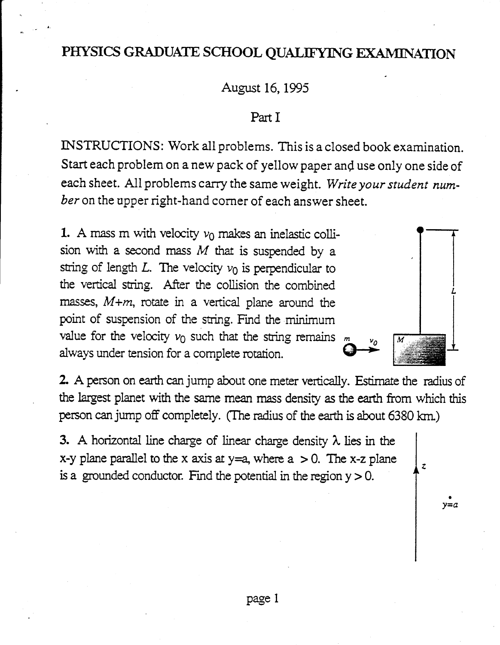# PHYSICS GRADUATE SCHOOL QUALIFYING EXAMINATION

August 16, 1995

#### Part I

INSTRUCTIONS: Work all problems. This is a closed book examination. Start each problem on a new pack of yellow paper and use only one side of each sheet. All problems carry the same weight. Write your student number on the upper right-hand corner of each answer sheet.

1. A mass m with velocity  $v_0$  makes an inelastic collision with a second mass  $M$  that is suspended by a string of length  $L$ . The velocity  $v_0$  is perpendicular to the vertical string. After the collision the combined masses,  $M+m$ , rotate in a vertical plane around the point of suspension of the string. Find the minimum value for the velocity  $v_0$  such that the string remains  $m$ always under tension for a complete rotation.

2. A person on earth can jump about one meter vertically. Estimate the radius of the largest planet with the same mean mass density as the earth from which this person can jump off completely. (The radius of the earth is about 6380 km.)

 $\overline{z}$ 

 $y=a$ 

3. A horizontal line charge of linear charge density  $\lambda$  lies in the x-y plane parallel to the x axis at  $y=a$ , where  $a > 0$ . The x-z plane is a grounded conductor. Find the potential in the region  $y > 0$ .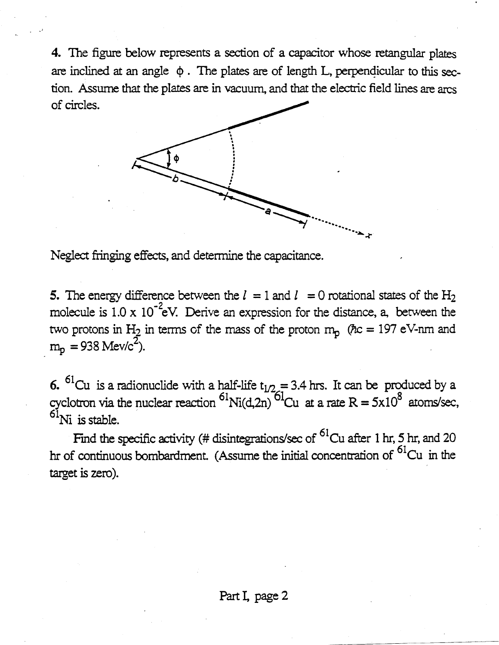4. The figure below represents a section of a capacitor whose retangular plates are inclined at an angle  $\phi$ . The plates are of length L, perpendicular to this section. Assume that the plates are in vacuum, and that the electric field lines are arcs of circles.



Neglect fringing effects, and determine the capacitance.

5. The energy difference between the  $l = 1$  and  $l = 0$  rotational states of the H<sub>2</sub> molecule is  $1.0 \times 10^{-2}$ eV. Derive an expression for the distance, a, between the two protons in H<sub>2</sub> in terms of the mass of the proton  $m_p$  ( $\hbar c = 197$  eV-nm and  $m_p = 938$  Mev/c<sup>2</sup>).

6. <sup>61</sup>Cu is a radionuclide with a half-life  $t_{1/2} = 3.4$  hrs. It can be produced by a cyclotron via the nuclear reaction <sup>61</sup>Ni(d,2n)<sup>61</sup>Cu at a rate R = 5x10<sup>8</sup> atoms/sec,  $6\bar{1}$ Ni is stable.

Find the specific activity (# disintegrations/sec of <sup>61</sup>Cu after 1 hr, 5 hr, and 20 hr of continuous bombardment. (Assume the initial concentration of  ${}^{61}Cu$  in the target is zero).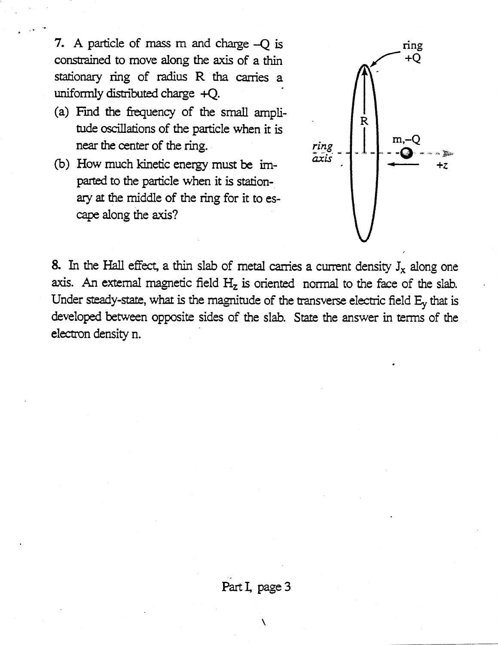7. A particle of mass m and charge -O is constrained to move along the axis of a thin stationary ring of radius R tha carries a uniformly distributed charge +Q.

- (a) Find the frequency of the small amplitude oscillations of the particle when it is near the center of the ring.
- (b) How much kinetic energy must be imparted to the particle when it is stationary at the middle of the ring for it to escape along the axis?



8. In the Hall effect, a thin slab of metal carries a current density  $J_x$  along one axis. An external magnetic field  $H_z$  is oriented normal to the face of the slab. Under steady-state, what is the magnitude of the transverse electric field  $E_y$  that is developed between opposite sides of the slab. State the answer in terms of the electron density n.

### Part I, page 3

 $\lambda$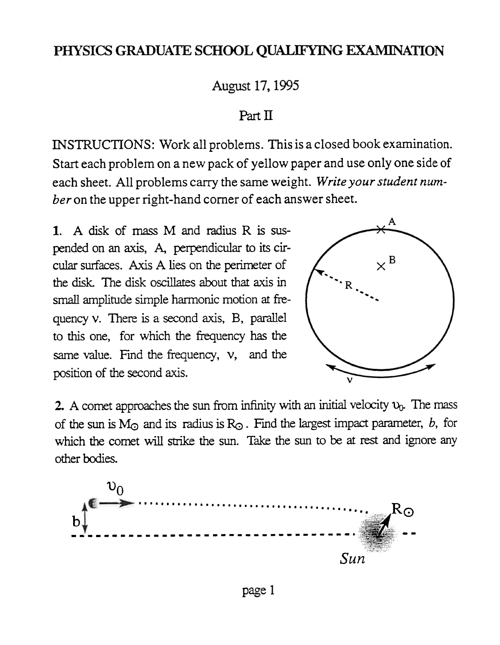# PHYSICS GRADUATE SCHOOL QUALIFYING EXAMINATION

August 17, 1995

## Part  $\Pi$

INSTRUCTIONS: Work all problems. This is a closed book examination. Start each problem on a new pack of yellow paper and use only one side of each sheet. All problems carry the same weight. Write your student numher on the upper right-hand corner of each answer sheet.

1. A disk of mass M and radius R is suspended on an axis, A, perpendicular to its circular surfaces. Axis A lies on the perimeter of the disk The disk oscillates about that axis in small amplitude simple harmonic motion at frequency v. There is a second axis, B, parallel to this one, for which the frequency has the same value. Find the frequency,  $v$ , and the position of the second axis.



2. A comet approaches the sun from infinity with an initial velocity  $v_0$ . The mass of the sun is  $M_{\odot}$  and its radius is  $R_{\odot}$ . Find the largest impact parameter, b, for which the comet will strike the sun. Take the sun to be at rest and ignore any other bodies.

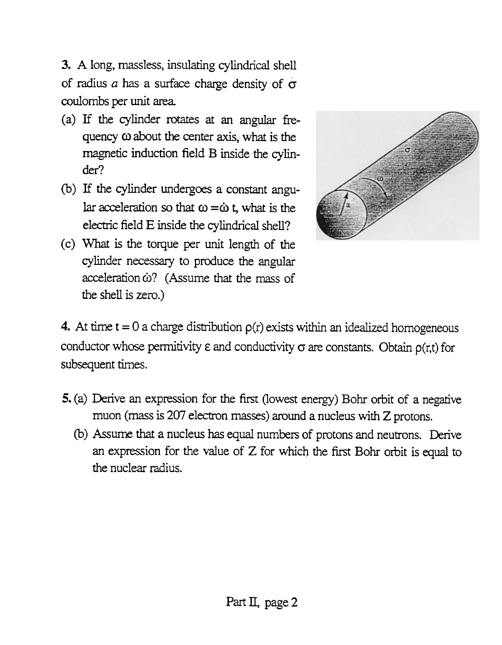3. A long, massless, insulating cylindrical shell of radius a has a surface charge density of  $\sigma$ coulombs per unit area.

- (a) If the cylinder rotates at an angular frequency  $\omega$  about the center axis, what is the magnetic induction field B inside the cylinder?
- (b) If the cylinder undergoes a constant angular acceleration so that  $\omega = \dot{\omega}$  t, what is the electric field E inside the cylindrical shell?
- ( c) \Vhat is the torque per unit length of the cylinder necessary to produce the angular  $acceleration  $\dot{\omega}$ ? (Assume that the mass of$ the shell is zero.)



- 4. At time  $t = 0$  a charge distribution  $\rho(r)$  exists within an idealized homogeneous conductor whose permitivity  $\varepsilon$  and conductivity  $\sigma$  are constants. Obtain  $\rho(r,t)$  for subsequent times.
- 5. (a) Derive an expression for the first Oowest energy) Bohr orbit of a negative muon (mass is 207 electron masses) around a nucleus with Z protons.
	- (b) Assume that a nucleus has equal numbers of protons and neutrons. Derive an expression for the value of  $Z$  for which the first Bohr orbit is equal to the nuclear radius.